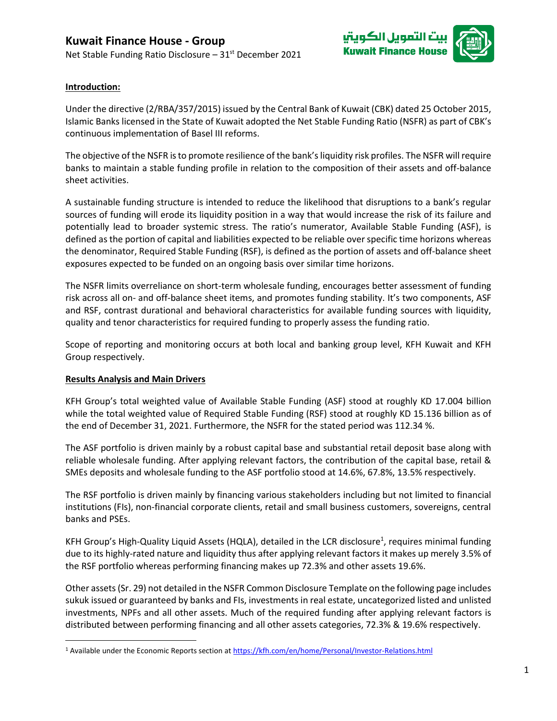



## **Introduction:**

Under the directive (2/RBA/357/2015) issued by the Central Bank of Kuwait (CBK) dated 25 October 2015, Islamic Banks licensed in the State of Kuwait adopted the Net Stable Funding Ratio (NSFR) as part of CBK's continuous implementation of Basel III reforms.

The objective of the NSFR is to promote resilience of the bank's liquidity risk profiles. The NSFR will require banks to maintain a stable funding profile in relation to the composition of their assets and off-balance sheet activities.

A sustainable funding structure is intended to reduce the likelihood that disruptions to a bank's regular sources of funding will erode its liquidity position in a way that would increase the risk of its failure and potentially lead to broader systemic stress. The ratio's numerator, Available Stable Funding (ASF), is defined as the portion of capital and liabilities expected to be reliable over specific time horizons whereas the denominator, Required Stable Funding (RSF), is defined as the portion of assets and off-balance sheet exposures expected to be funded on an ongoing basis over similar time horizons.

The NSFR limits overreliance on short-term wholesale funding, encourages better assessment of funding risk across all on- and off-balance sheet items, and promotes funding stability. It's two components, ASF and RSF, contrast durational and behavioral characteristics for available funding sources with liquidity, quality and tenor characteristics for required funding to properly assess the funding ratio.

Scope of reporting and monitoring occurs at both local and banking group level, KFH Kuwait and KFH Group respectively.

## **Results Analysis and Main Drivers**

KFH Group's total weighted value of Available Stable Funding (ASF) stood at roughly KD 17.004 billion while the total weighted value of Required Stable Funding (RSF) stood at roughly KD 15.136 billion as of the end of December 31, 2021. Furthermore, the NSFR for the stated period was 112.34 %.

The ASF portfolio is driven mainly by a robust capital base and substantial retail deposit base along with reliable wholesale funding. After applying relevant factors, the contribution of the capital base, retail & SMEs deposits and wholesale funding to the ASF portfolio stood at 14.6%, 67.8%, 13.5% respectively.

The RSF portfolio is driven mainly by financing various stakeholders including but not limited to financial institutions (FIs), non-financial corporate clients, retail and small business customers, sovereigns, central banks and PSEs.

KFH Group's High-Quality Liquid Assets (HQLA), detailed in the LCR disclosure<sup>1</sup>, requires minimal funding due to its highly-rated nature and liquidity thus after applying relevant factors it makes up merely 3.5% of the RSF portfolio whereas performing financing makes up 72.3% and other assets 19.6%.

Other assets (Sr. 29) not detailed in the NSFR Common Disclosure Template on the following page includes sukuk issued or guaranteed by banks and FIs, investments in real estate, uncategorized listed and unlisted investments, NPFs and all other assets. Much of the required funding after applying relevant factors is distributed between performing financing and all other assets categories, 72.3% & 19.6% respectively.

<sup>&</sup>lt;sup>1</sup> Available under the Economic Reports section a[t https://kfh.com/en/home/Personal/Investor-Relations.html](https://kfh.com/en/home/Personal/Investor-Relations.html)